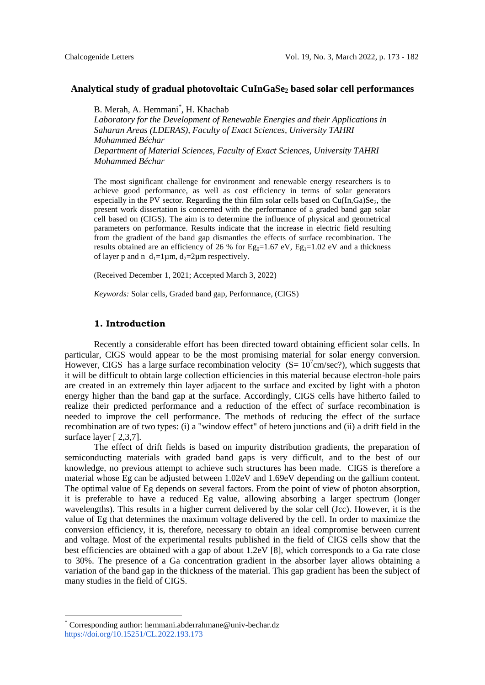#### **Analytical study of gradual photovoltaic CuInGaSe<sup>2</sup> based solar cell performances**

B. Merah, A. Hemmani\* , H. Khachab

*Laboratory for the Development of Renewable Energies and their Applications in Saharan Areas (LDERAS), Faculty of Exact Sciences, University TAHRI Mohammed Béchar Department of Material Sciences, Faculty of Exact Sciences, University TAHRI Mohammed Béchar*

The most significant challenge for environment and renewable energy researchers is to achieve good performance, as well as cost efficiency in terms of solar generators especially in the PV sector. Regarding the thin film solar cells based on  $Cu(In,Ga)Se<sub>2</sub>$ , the present work dissertation is concerned with the performance of a graded band gap solar cell based on (CIGS). The aim is to determine the influence of physical and geometrical parameters on performance. Results indicate that the increase in electric field resulting from the gradient of the band gap dismantles the effects of surface recombination. The results obtained are an efficiency of 26 % for  $Eg_0=1.67$  eV,  $Eg_1=1.02$  eV and a thickness of layer p and n  $d_1=1 \mu m$ ,  $d_2=2 \mu m$  respectively.

(Received December 1, 2021; Accepted March 3, 2022)

*Keywords:* Solar cells, Graded band gap, Performance, (CIGS)

### **1. Introduction**

Recently a considerable effort has been directed toward obtaining efficient solar cells. In particular, CIGS would appear to be the most promising material for solar energy conversion. However, CIGS has a large surface recombination velocity ( $S = 10<sup>7</sup>$ cm/sec?), which suggests that it will be difficult to obtain large collection efficiencies in this material because electron-hole pairs are created in an extremely thin layer adjacent to the surface and excited by light with a photon energy higher than the band gap at the surface. Accordingly, CIGS cells have hitherto failed to realize their predicted performance and a reduction of the effect of surface recombination is needed to improve the cell performance. The methods of reducing the effect of the surface recombination are of two types: (i) a "window effect" of hetero junctions and (ii) a drift field in the surface layer [ 2,3,7].

The effect of drift fields is based on impurity distribution gradients, the preparation of semiconducting materials with graded band gaps is very difficult, and to the best of our knowledge, no previous attempt to achieve such structures has been made. CIGS is therefore a material whose Eg can be adjusted between 1.02eV and 1.69eV depending on the gallium content. The optimal value of Eg depends on several factors. From the point of view of photon absorption, it is preferable to have a reduced Eg value, allowing absorbing a larger spectrum (longer wavelengths). This results in a higher current delivered by the solar cell (Jcc). However, it is the value of Eg that determines the maximum voltage delivered by the cell. In order to maximize the conversion efficiency, it is, therefore, necessary to obtain an ideal compromise between current and voltage. Most of the experimental results published in the field of CIGS cells show that the best efficiencies are obtained with a gap of about 1.2eV [8], which corresponds to a Ga rate close to 30%. The presence of a Ga concentration gradient in the absorber layer allows obtaining a variation of the band gap in the thickness of the material. This gap gradient has been the subject of many studies in the field of CIGS.

**.** 

<sup>\*</sup> Corresponding author: hemmani.abderrahmane@univ-bechar.dz <https://doi.org/10.15251/CL.2022.193.173>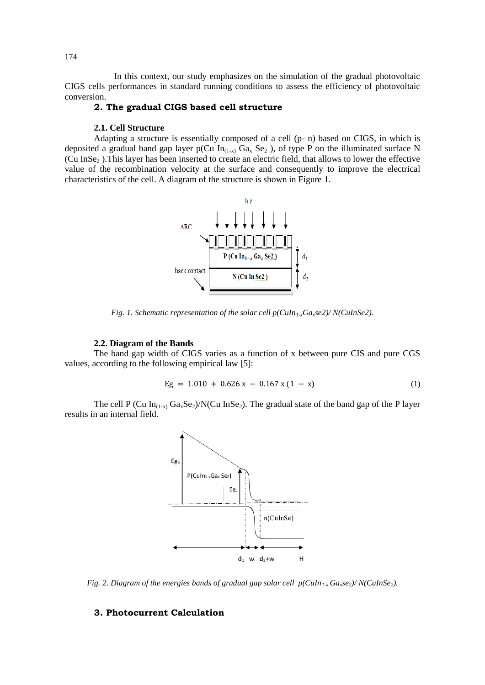In this context, our study emphasizes on the simulation of the gradual photovoltaic CIGS cells performances in standard running conditions to assess the efficiency of photovoltaic conversion.

## **2. The gradual CIGS based cell structure**

### **2.1. Cell Structure**

Adapting a structure is essentially composed of a cell (p- n) based on CIGS, in which is deposited a gradual band gap layer p(Cu  $In_{(1-x)} Ga_x Se_2$ ), of type P on the illuminated surface N (Cu InSe<sup>2</sup> ).This layer has been inserted to create an electric field, that allows to lower the effective value of the recombination velocity at the surface and consequently to improve the electrical characteristics of the cell. A diagram of the structure is shown in Figure 1.



*Fig. 1. Schematic representation of the solar cell p(CuIn1-xGaxse2)/ N(CuInSe2).*

### **2.2. Diagram of the Bands**

The band gap width of CIGS varies as a function of x between pure CIS and pure CGS values, according to the following empirical law [5]:

$$
Eg = 1.010 + 0.626 x - 0.167 x (1 - x)
$$
 (1)

The cell P (Cu  $In_{(1-x)} Ga_xSe_2$ )/N(Cu InSe<sub>2</sub>). The gradual state of the band gap of the P layer results in an internal field.



*Fig. 2. Diagram of the energies bands of gradual gap solar cell p(CuIn1-x Gaxse2)/ N(CuInSe2).*

## **3. Photocurrent Calculation**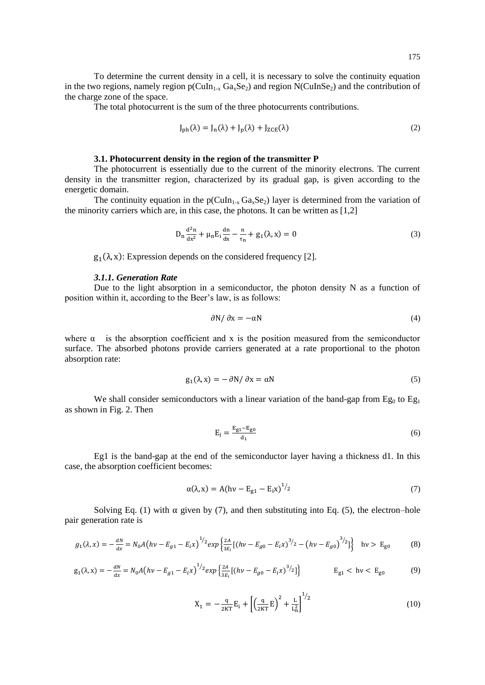To determine the current density in a cell, it is necessary to solve the continuity equation in the two regions, namely region  $p(CuIn_{1-x} Ga_xSe_z)$  and region  $N(CuInSe_z)$  and the contribution of the charge zone of the space.

The total photocurrent is the sum of the three photocurrents contributions.

$$
J_{ph}(\lambda) = J_n(\lambda) + J_p(\lambda) + J_{ZCE}(\lambda)
$$
\n(2)

## **3.1. Photocurrent density in the region of the transmitter P**

The photocurrent is essentially due to the current of the minority electrons. The current density in the transmitter region, characterized by its gradual gap, is given according to the energetic domain.

The continuity equation in the  $p(CuIn_{1-x} Ga_xSe_2)$  layer is determined from the variation of the minority carriers which are, in this case, the photons. It can be written as [1,2]

$$
D_{n}\frac{d^{2}n}{dx^{2}} + \mu_{n}E_{i}\frac{dn}{dx} - \frac{n}{\tau_{n}} + g_{1}(\lambda, x) = 0
$$
\n(3)

 $g_1(\lambda, x)$ : Expression depends on the considered frequency [2].

#### *3.1.1. Generation Rate*

Due to the light absorption in a semiconductor, the photon density N as a function of position within it, according to the Beer's law, is as follows:

$$
\frac{\partial N}{\partial x} = -\alpha N \tag{4}
$$

where  $\alpha$  is the absorption coefficient and x is the position measured from the semiconductor surface. The absorbed photons provide carriers generated at a rate proportional to the photon absorption rate:

$$
g_1(\lambda, x) = -\partial N / \partial x = \alpha N \tag{5}
$$

We shall consider semiconductors with a linear variation of the band-gap from  $Eg_0$  to  $Eg_1$ as shown in Fig. 2. Then

$$
E_i = \frac{E_{g1} - E_{g0}}{d_1} \tag{6}
$$

Eg1 is the band-gap at the end of the semiconductor layer having a thickness d1. In this case, the absorption coefficient becomes:

$$
\alpha(\lambda, x) = A(hv - E_{g1} - E_i x)^{1/2}
$$
 (7)

Solving Eq. (1) with  $\alpha$  given by (7), and then substituting into Eq. (5), the electron–hole pair generation rate is

$$
g_1(\lambda, x) = -\frac{dN}{dx} = N_0 A \left( hv - E_{g1} - E_i x \right)^{1/2} exp \left\{ \frac{2A}{3E_i} \left[ \left( hv - E_{g0} - E_i x \right)^{3/2} - \left( hv - E_{g0} \right)^{3/2} \right] \right\} \quad \text{hv} > E_{g0} \tag{8}
$$

$$
g_1(\lambda, x) = -\frac{dN}{dx} = N_0 A \left( h\nu - E_{g1} - E_i x \right)^{1/2} exp \left\{ \frac{2A}{3E_i} \left[ \left( h\nu - E_{g0} - E_i x \right)^{3/2} \right] \right\} \qquad E_{g1} < h\nu < E_{g0} \tag{9}
$$

$$
X_1 = -\frac{q}{2KT}E_i + \left[\left(\frac{q}{2KT}E\right)^2 + \frac{L}{L_n^2}\right]^{1/2} \tag{10}
$$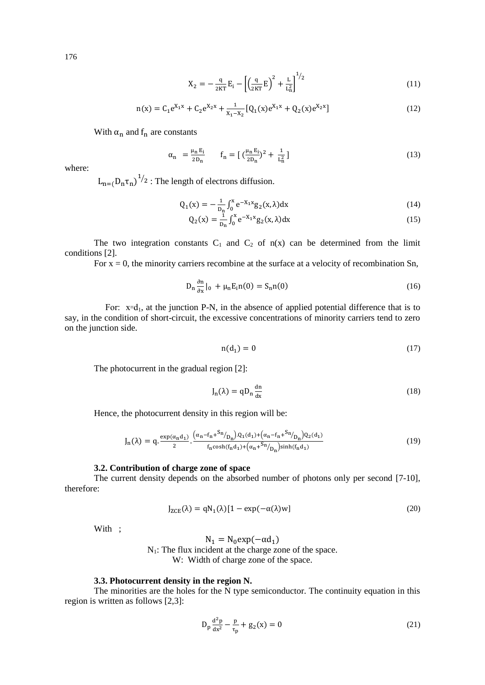176

$$
X_2 = -\frac{q}{2KT}E_i - \left[\left(\frac{q}{2KT}E\right)^2 + \frac{L}{L_n^2}\right]^{1/2}
$$
\n(11)

$$
n(x) = C_1 e^{X_1 x} + C_2 e^{X_2 x} + \frac{1}{X_1 - X_2} [Q_1(x) e^{X_1 x} + Q_2(x) e^{X_2 x}]
$$
\n(12)

With  $\alpha_n$  and  $f_n$  are constants

$$
\alpha_n = \frac{\mu_n E_i}{2D_n} \qquad f_n = \left[ \left( \frac{\mu_n E_i}{2D_n} \right)^2 + \frac{1}{L_n^2} \right] \tag{13}
$$

where:

 $L_{n=(n)} D_n \tau_n$ <sup>1/</sup>2 : The length of electrons diffusion.

$$
Q_1(x) = -\frac{1}{D_n} \int_0^x e^{-X_1 x} g_2(x, \lambda) dx
$$
 (14)

$$
Q_2(x) = \frac{1}{D_n} \int_0^x e^{-X_1 x} g_2(x, \lambda) dx
$$
 (15)

The two integration constants  $C_1$  and  $C_2$  of  $n(x)$  can be determined from the limit conditions [2].

For  $x = 0$ , the minority carriers recombine at the surface at a velocity of recombination Sn,

$$
D_{n}\frac{\partial n}{\partial x}|_{0} + \mu_{n}E_{i}n(0) = S_{n}n(0)
$$
\n(16)

For:  $x = d_1$ , at the junction P-N, in the absence of applied potential difference that is to say, in the condition of short-circuit, the excessive concentrations of minority carriers tend to zero on the junction side.

$$
n(d_1) = 0 \tag{17}
$$

The photocurrent in the gradual region [2]:

$$
J_n(\lambda) = q D_n \frac{dn}{dx}
$$
 (18)

Hence, the photocurrent density in this region will be:

$$
J_n(\lambda) = q \cdot \frac{\exp(\alpha_n d_1)}{2} \cdot \frac{(\alpha_n - f_n + {}^{S_n}/p_n) \cdot Q_1(d_1) + (\alpha_n - f_n + {}^{S_n}/p_n) Q_2(d_1)}{f_n \cosh(f_n d_1) + (\alpha_n + {}^{S_n}/p_n) \sinh(f_n d_1)}
$$
(19)

### **3.2. Contribution of charge zone of space**

The current density depends on the absorbed number of photons only per second [7-10], therefore:

$$
J_{ZCE}(\lambda) = qN_1(\lambda)[1 - \exp(-\alpha(\lambda)w)]
$$
\n(20)

With ;

$$
N_1 = N_0 \exp(-\alpha d_1)
$$
  
N<sub>1</sub>: The flux incident at the charge zone of the space.  
W: Width of charge zone of the space.

## **3.3. Photocurrent density in the region N.**

The minorities are the holes for the  $N$  type semiconductor. The continuity equation in this region is written as follows [2,3]:

$$
D_p \frac{d^2 p}{dx^2} - \frac{p}{\tau_p} + g_2(x) = 0
$$
\n(21)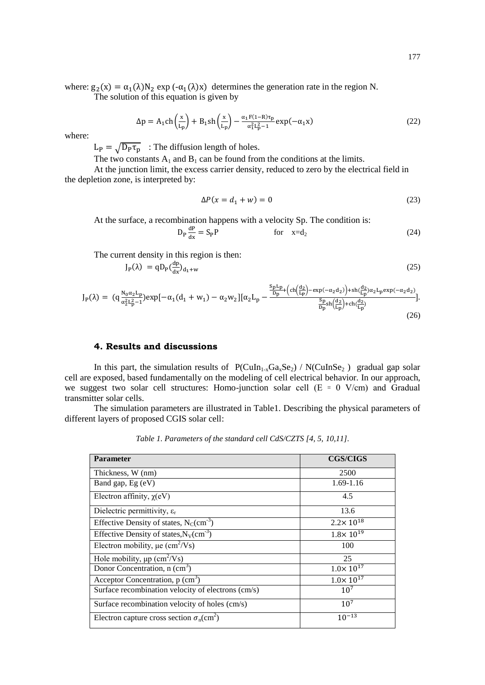where:  $g_2(x) = \alpha_1(\lambda)N_2 \exp(-\alpha_1(\lambda)x)$  determines the generation rate in the region N. The solution of this equation is given by

$$
\Delta p = A_1 \text{ch}\left(\frac{x}{L_p}\right) + B_1 \text{sh}\left(\frac{x}{L_p}\right) - \frac{\alpha_1 F (1 - R) \tau_p}{\alpha_1^2 L_p^2 - 1} \exp(-\alpha_1 x) \tag{22}
$$

where:

 $L_{\rm P} = \sqrt{D_{\rm P} \tau_{\rm p}}$  : The diffusion length of holes.

The two constants  $A_1$  and  $B_1$  can be found from the conditions at the limits.

At the junction limit, the excess carrier density, reduced to zero by the electrical field in the depletion zone, is interpreted by:

$$
\Delta P(x = d_1 + w) = 0\tag{23}
$$

At the surface, a recombination happens with a velocity Sp. The condition is:

$$
D_P \frac{dP}{dx} = S_P P \qquad \text{for} \quad x = d_2 \tag{24}
$$

The current density in this region is then:

$$
J_{P}(\lambda) = q D_{P} \left(\frac{dp}{dx}\right)_{d_{1}+w} \tag{25}
$$

$$
J_{P}(\lambda) = (q \frac{N_{0} \alpha_{2} L_{p}}{\alpha_{2}^{2} L_{p}^{2} - 1} ) \exp[-\alpha_{1} (d_{1} + w_{1}) - \alpha_{2} w_{2}] [\alpha_{2} L_{p} - \frac{\frac{S_{p} L_{p}}{D_{p}} + (c h(\frac{d_{2}}{L_{p}}) - \exp(-\alpha_{2} d_{2})) + sh(\frac{d_{2}}{L_{p}}) \alpha_{2} L_{p} \exp(-\alpha_{2} d_{2})}{\frac{S_{p}}{D_{p}} sh(\frac{d_{2}}{L_{p}}) + ch(\frac{d_{2}}{L_{p}})}{L_{p}}].
$$
\n(26)

# **4. Results and discussions**

In this part, the simulation results of  $P(ClIn_{1-x}Ga_xSe_2) / N(ClInSe_2)$  gradual gap solar cell are exposed, based fundamentally on the modeling of cell electrical behavior. In our approach, we suggest two solar cell structures: Homo-junction solar cell  $(E = 0 V/cm)$  and Gradual transmitter solar cells.

The simulation parameters are illustrated in Table1. Describing the physical parameters of different layers of proposed CGIS solar cell:

*Table 1. Parameters of the standard cell CdS/CZTS [4, 5, 10,11].*

| <b>Parameter</b>                                             | <b>CGS/CIGS</b>      |  |  |
|--------------------------------------------------------------|----------------------|--|--|
|                                                              |                      |  |  |
| Thickness, W (nm)                                            | 2500                 |  |  |
| Band gap, Eg (eV)                                            | 1.69-1.16            |  |  |
| Electron affinity, $\chi$ (eV)                               | 4.5                  |  |  |
| Dielectric permittivity, $\varepsilon_r$                     | 13.6                 |  |  |
| Effective Density of states, $N_c$ (cm <sup>-3</sup> )       | $2.2 \times 10^{18}$ |  |  |
| Effective Density of states, $N_V$ (cm <sup>-3</sup> )       | $1.8 \times 10^{19}$ |  |  |
| Electron mobility, $\mu e$ (cm <sup>2</sup> /Vs)             | 100                  |  |  |
| Hole mobility, $\mu p$ (cm <sup>2</sup> /Vs)                 | 25                   |  |  |
| Donor Concentration, n (cm <sup>3</sup> )                    | $1.0 \times 10^{17}$ |  |  |
| Acceptor Concentration, $p$ (cm <sup>3</sup> )               | $1.0 \times 10^{17}$ |  |  |
| Surface recombination velocity of electrons (cm/s)           | 10 <sup>7</sup>      |  |  |
| Surface recombination velocity of holes (cm/s)               | $10^{7}$             |  |  |
| Electron capture cross section $\sigma_n$ (cm <sup>2</sup> ) | $10^{-13}$           |  |  |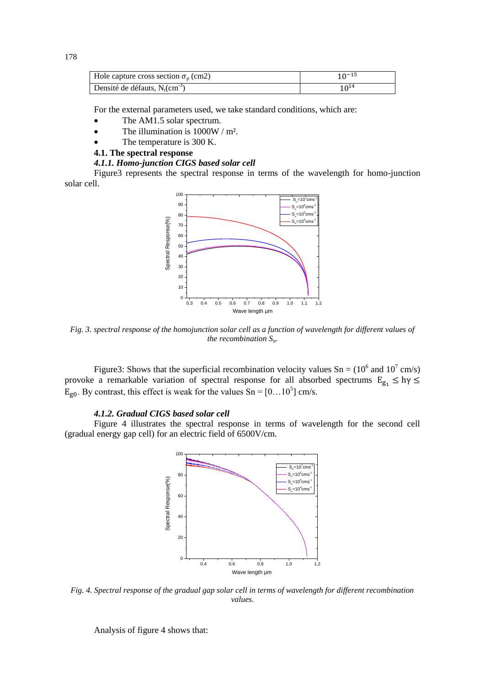| Hole capture cross section $\sigma_{\rm p}$ (cm2) | $10^{-15}$       |
|---------------------------------------------------|------------------|
| Densité de défauts, $N_t$ (cm <sup>-3</sup> )     | 10 <sup>14</sup> |

For the external parameters used, we take standard conditions, which are:

- The AM1.5 solar spectrum.
- The illumination is 1000W / m².
- The temperature is 300 K.

### **4.1. The spectral response**

### *4.1.1. Homo-junction CIGS based solar cell*

Figure3 represents the spectral response in terms of the wavelength for homo-junction solar cell.



*Fig. 3. spectral response of the homojunction solar cell as a function of wavelength for different values of the recombination Sn.*

Figure 3: Shows that the superficial recombination velocity values  $Sn = (10^6 \text{ and } 10^7 \text{ cm/s})$ provoke a remarkable variation of spectral response for all absorbed spectrums  $E_{g_1} \leq hy \leq$  $E_{g0}$ . By contrast, this effect is weak for the values Sn = [0...10<sup>5</sup>] cm/s.

### *4.1.2. Gradual CIGS based solar cell*

Figure 4 illustrates the spectral response in terms of wavelength for the second cell (gradual energy gap cell) for an electric field of 6500V/cm.



*Fig. 4. Spectral response of the gradual gap solar cell in terms of wavelength for different recombination values.*

Analysis of figure 4 shows that: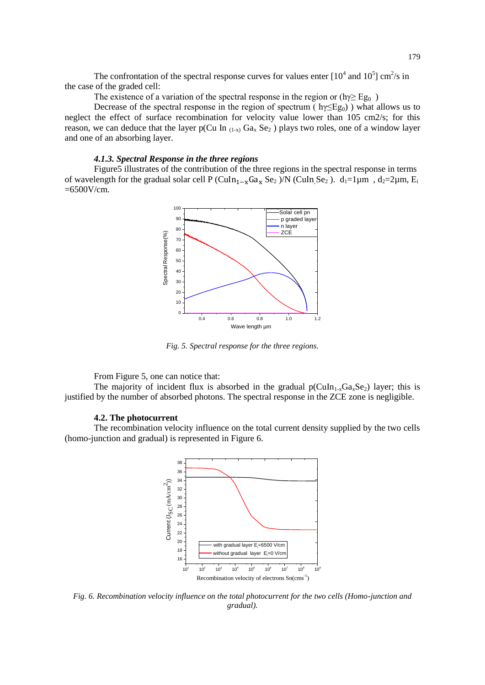The confrontation of the spectral response curves for values enter  $[10^4$  and  $10^5]$  cm<sup>2</sup>/s in the case of the graded cell:

The existence of a variation of the spectral response in the region or (hγ $\ge$  Eg<sub>0</sub>)

Decrease of the spectral response in the region of spectrum ( $h\gamma \leq g_0$ ) what allows us to neglect the effect of surface recombination for velocity value lower than 105 cm2/s; for this reason, we can deduce that the layer p(Cu In  $_{(1-x)}$  Ga<sub>x</sub> Se<sub>2</sub>) plays two roles, one of a window layer and one of an absorbing layer.

## *4.1.3. Spectral Response in the three regions*

Figure5 illustrates of the contribution of the three regions in the spectral response in terms of wavelength for the gradual solar cell P (CuIn<sub>1-x</sub>Ga<sub>x</sub> Se<sub>2</sub>)/N (CuIn<sub>Se<sub>2</sub>). d<sub>1</sub>=1<sub>µ</sub>m, d<sub>2</sub>=2<sub>µ</sub>m, E<sub>i</sub></sub>  $=6500V/cm$ .



*Fig. 5. Spectral response for the three regions.* 

From Figure 5, one can notice that:

The majority of incident flux is absorbed in the gradual  $p(CuIn_{1-x}Ga_xSe_2)$  layer; this is justified by the number of absorbed photons. The spectral response in the ZCE zone is negligible.

### **4.2. The photocurrent**

The recombination velocity influence on the total current density supplied by the two cells (homo-junction and gradual) is represented in Figure 6.



*Fig. 6. Recombination velocity influence on the total photocurrent for the two cells (Homo-junction and gradual).*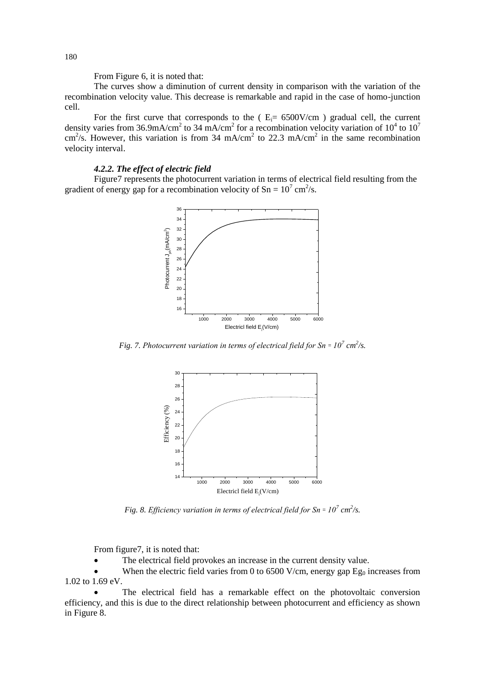From Figure 6, it is noted that:

The curves show a diminution of current density in comparison with the variation of the recombination velocity value. This decrease is remarkable and rapid in the case of homo-junction cell.

For the first curve that corresponds to the  $(E_i= 6500V/cm)$  gradual cell, the current density varies from 36.9mA/cm<sup>2</sup> to 34 mA/cm<sup>2</sup> for a recombination velocity variation of 10<sup>4</sup> to 10<sup>7</sup> cm<sup>2</sup>/s. However, this variation is from 34 mA/cm<sup>2</sup> to 22.3 mA/cm<sup>2</sup> in the same recombination velocity interval.

# *4.2.2. The effect of electric field*

Figure7 represents the photocurrent variation in terms of electrical field resulting from the gradient of energy gap for a recombination velocity of  $Sn = 10^7$  cm<sup>2</sup>/s.



*Fig. 7. Photocurrent variation in terms of electrical field for Sn =*  $10^7$  *cm<sup>2</sup>/s.* 



*Fig. 8. Efficiency variation in terms of electrical field for Sn =*  $10^7$  *cm<sup>2</sup>/s.* 

From figure7, it is noted that:

The electrical field provokes an increase in the current density value.

When the electric field varies from 0 to 6500 V/cm, energy gap  $Eg_0$  increases from 1.02 to 1.69 eV.

 The electrical field has a remarkable effect on the photovoltaic conversion efficiency, and this is due to the direct relationship between photocurrent and efficiency as shown in Figure 8.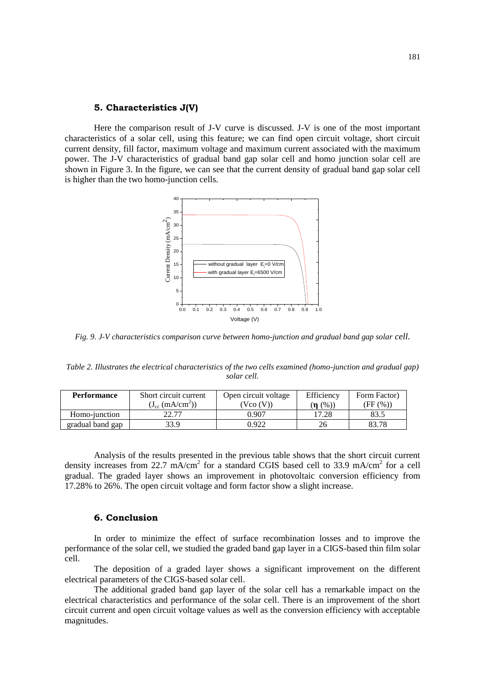### **5. Characteristics J(V)**

Here the comparison result of J-V curve is discussed. J-V is one of the most important characteristics of a solar cell, using this feature; we can find open circuit voltage, short circuit current density, fill factor, maximum voltage and maximum current associated with the maximum power. The J-V characteristics of gradual band gap solar cell and homo junction solar cell are shown in Figure 3. In the figure, we can see that the current density of gradual band gap solar cell is higher than the two homo-junction cells.



*Fig. 9. J-V characteristics comparison curve between homo-junction and gradual band gap solar cell.*

*Table 2. Illustrates the electrical characteristics of the two cells examined (homo-junction and gradual gap) solar cell.*

| <b>Performance</b> | Short circuit current<br>$(J_{cc} (mA/cm^2))$ | Open circuit voltage<br>(Vco (V) | Efficiency<br>$(n \ (\%)$ | Form Factor)<br>(FF (%)) |
|--------------------|-----------------------------------------------|----------------------------------|---------------------------|--------------------------|
| Homo-junction      | 22.77                                         | 0.907                            | 17.28                     | 83.1                     |
| gradual band gap   | 33.9                                          | 1.922                            |                           |                          |

Analysis of the results presented in the previous table shows that the short circuit current density increases from 22.7 mA/cm<sup>2</sup> for a standard CGIS based cell to 33.9 mA/cm<sup>2</sup> for a cell gradual. The graded layer shows an improvement in photovoltaic conversion efficiency from 17.28% to 26%. The open circuit voltage and form factor show a slight increase.

### **6. Conclusion**

In order to minimize the effect of surface recombination losses and to improve the performance of the solar cell, we studied the graded band gap layer in a CIGS-based thin film solar cell.

The deposition of a graded layer shows a significant improvement on the different electrical parameters of the CIGS-based solar cell.

The additional graded band gap layer of the solar cell has a remarkable impact on the electrical characteristics and performance of the solar cell. There is an improvement of the short circuit current and open circuit voltage values as well as the conversion efficiency with acceptable magnitudes.